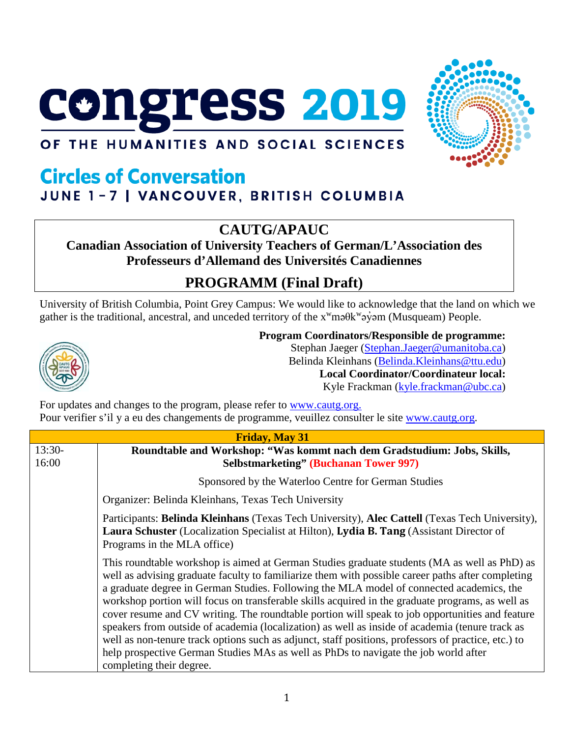# **CONGress 2019**



## OF THE HUMANITIES AND SOCIAL SCIENCES

# **Circles of Conversation** JUNE 1-7 | VANCOUVER, BRITISH COLUMBIA

#### **CAUTG/APAUC**

**Canadian Association of University Teachers of German/L'Association des Professeurs d'Allemand des Universités Canadiennes**

### **PROGRAMM (Final Draft)**

University of British Columbia, Point Grey Campus: We would like to acknowledge that the land on which we gather is the traditional, ancestral, and unceded territory of the  $x^w$ mə $\theta$ k $^w$ əy̓əm (Musqueam) People.



**Program Coordinators/Responsible de programme:**

Stephan Jaeger (Stephan.Jaeger@umanitoba.ca) Belinda Kleinhans [\(Belinda.Kleinhans@ttu.edu\)](mailto:Belinda.Kleinhans@ttu.edu)

**Local Coordinator/Coordinateur local:**

Kyle Frackman (kyle.frackman@ubc.ca)

For updates and changes to the program, please refer to [www.cautg.org.](http://www.cautg.org/) Pour verifier s'il y a eu des changements de programme, veuillez consulter le site [www.cautg.org.](http://www.cautg.org/)

| <b>Friday, May 31</b> |                                                                                                                                                                                                                                                                                                                                                                                                                                                                                                                                                                                                                                                                                                                                                                                                                                   |  |
|-----------------------|-----------------------------------------------------------------------------------------------------------------------------------------------------------------------------------------------------------------------------------------------------------------------------------------------------------------------------------------------------------------------------------------------------------------------------------------------------------------------------------------------------------------------------------------------------------------------------------------------------------------------------------------------------------------------------------------------------------------------------------------------------------------------------------------------------------------------------------|--|
| $13:30-$              | Roundtable and Workshop: "Was kommt nach dem Gradstudium: Jobs, Skills,                                                                                                                                                                                                                                                                                                                                                                                                                                                                                                                                                                                                                                                                                                                                                           |  |
| 16:00                 | <b>Selbstmarketing" (Buchanan Tower 997)</b>                                                                                                                                                                                                                                                                                                                                                                                                                                                                                                                                                                                                                                                                                                                                                                                      |  |
|                       | Sponsored by the Waterloo Centre for German Studies                                                                                                                                                                                                                                                                                                                                                                                                                                                                                                                                                                                                                                                                                                                                                                               |  |
|                       | Organizer: Belinda Kleinhans, Texas Tech University                                                                                                                                                                                                                                                                                                                                                                                                                                                                                                                                                                                                                                                                                                                                                                               |  |
|                       | Participants: Belinda Kleinhans (Texas Tech University), Alec Cattell (Texas Tech University),<br><b>Laura Schuster</b> (Localization Specialist at Hilton), Lydia B. Tang (Assistant Director of<br>Programs in the MLA office)                                                                                                                                                                                                                                                                                                                                                                                                                                                                                                                                                                                                  |  |
|                       | This roundtable workshop is aimed at German Studies graduate students (MA as well as PhD) as<br>well as advising graduate faculty to familiarize them with possible career paths after completing<br>a graduate degree in German Studies. Following the MLA model of connected academics, the<br>workshop portion will focus on transferable skills acquired in the graduate programs, as well as<br>cover resume and CV writing. The roundtable portion will speak to job opportunities and feature<br>speakers from outside of academia (localization) as well as inside of academia (tenure track as<br>well as non-tenure track options such as adjunct, staff positions, professors of practice, etc.) to<br>help prospective German Studies MAs as well as PhDs to navigate the job world after<br>completing their degree. |  |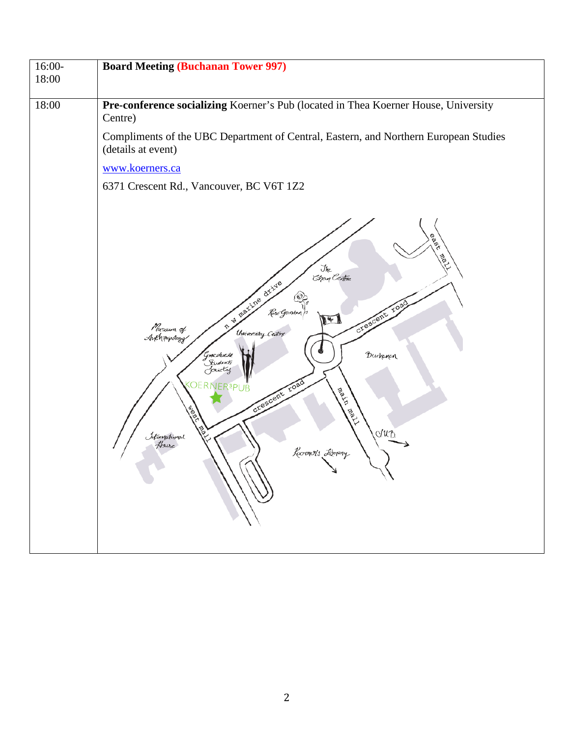| 16:00- | <b>Board Meeting (Buchanan Tower 997)</b>                                                                                                                                                                                                                                                                                                           |  |  |
|--------|-----------------------------------------------------------------------------------------------------------------------------------------------------------------------------------------------------------------------------------------------------------------------------------------------------------------------------------------------------|--|--|
| 18:00  |                                                                                                                                                                                                                                                                                                                                                     |  |  |
| 18:00  | Pre-conference socializing Koerner's Pub (located in Thea Koerner House, University<br>Centre)<br>Compliments of the UBC Department of Central, Eastern, and Northern European Studies<br>(details at event)<br>www.koerners.ca<br>6371 Crescent Rd., Vancouver, BC V6T 1Z2                                                                         |  |  |
|        | east<br>Jhe<br>Chan Centre<br>arizie<br>W marine<br>roa<br>Rose Gamden<br>crescent<br>$\sqrt{1+1}$<br>♦<br>Museum of<br>University Centre<br>Anthropology<br>Buchanan<br>Goveduate<br>Students<br>Jocietaj<br>OERNERSPUB<br><b>Foac</b><br>Treat driew<br>crescent<br>duB<br>International<br>House<br>Roomen's Libnary<br>$\overline{\phantom{a}}$ |  |  |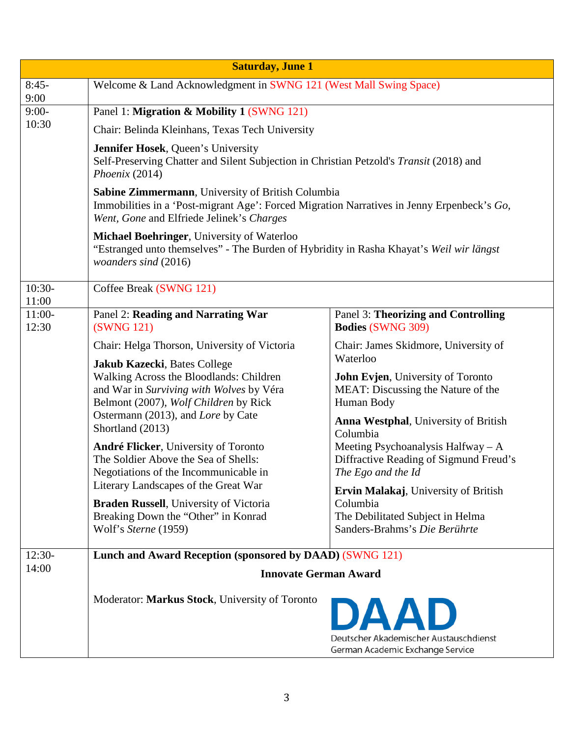| <b>Saturday, June 1</b> |                                                                                                                                                                                                                                                                                                                                                         |                                                                                       |  |
|-------------------------|---------------------------------------------------------------------------------------------------------------------------------------------------------------------------------------------------------------------------------------------------------------------------------------------------------------------------------------------------------|---------------------------------------------------------------------------------------|--|
| $8:45-$<br>9:00         | Welcome & Land Acknowledgment in SWNG 121 (West Mall Swing Space)                                                                                                                                                                                                                                                                                       |                                                                                       |  |
| $9:00-$                 | Panel 1: Migration & Mobility 1 (SWNG 121)                                                                                                                                                                                                                                                                                                              |                                                                                       |  |
| 10:30                   | Chair: Belinda Kleinhans, Texas Tech University                                                                                                                                                                                                                                                                                                         |                                                                                       |  |
|                         | Jennifer Hosek, Queen's University<br>Self-Preserving Chatter and Silent Subjection in Christian Petzold's Transit (2018) and<br>Phoenix (2014)                                                                                                                                                                                                         |                                                                                       |  |
|                         | Sabine Zimmermann, University of British Columbia<br>Immobilities in a 'Post-migrant Age': Forced Migration Narratives in Jenny Erpenbeck's Go,<br>Went, Gone and Elfriede Jelinek's Charges                                                                                                                                                            |                                                                                       |  |
|                         | Michael Boehringer, University of Waterloo<br>"Estranged unto themselves" - The Burden of Hybridity in Rasha Khayat's Weil wir längst<br>woanders sind (2016)                                                                                                                                                                                           |                                                                                       |  |
| $10:30-$<br>11:00       | Coffee Break (SWNG 121)                                                                                                                                                                                                                                                                                                                                 |                                                                                       |  |
| $11:00-$<br>12:30       | Panel 2: Reading and Narrating War<br><b>(SWNG 121)</b>                                                                                                                                                                                                                                                                                                 | Panel 3: Theorizing and Controlling<br><b>Bodies (SWNG 309)</b>                       |  |
|                         | Chair: Helga Thorson, University of Victoria                                                                                                                                                                                                                                                                                                            | Chair: James Skidmore, University of                                                  |  |
|                         | Jakub Kazecki, Bates College                                                                                                                                                                                                                                                                                                                            | Waterloo                                                                              |  |
|                         | Walking Across the Bloodlands: Children<br>and War in Surviving with Wolves by Véra<br>Belmont (2007), Wolf Children by Rick<br>Ostermann (2013), and Lore by Cate<br>Shortland (2013)<br>André Flicker, University of Toronto<br>The Soldier Above the Sea of Shells:<br>Negotiations of the Incommunicable in<br>Literary Landscapes of the Great War | John Evjen, University of Toronto<br>MEAT: Discussing the Nature of the<br>Human Body |  |
|                         |                                                                                                                                                                                                                                                                                                                                                         | <b>Anna Westphal</b> , University of British<br>Columbia                              |  |
|                         |                                                                                                                                                                                                                                                                                                                                                         | Meeting Psychoanalysis Halfway $-A$                                                   |  |
|                         |                                                                                                                                                                                                                                                                                                                                                         | Diffractive Reading of Sigmund Freud's<br>The Ego and the Id                          |  |
|                         |                                                                                                                                                                                                                                                                                                                                                         | Ervin Malakaj, University of British                                                  |  |
|                         | <b>Braden Russell</b> , University of Victoria                                                                                                                                                                                                                                                                                                          | Columbia                                                                              |  |
|                         | Breaking Down the "Other" in Konrad<br>Wolf's Sterne (1959)                                                                                                                                                                                                                                                                                             | The Debilitated Subject in Helma<br>Sanders-Brahms's Die Berührte                     |  |
|                         |                                                                                                                                                                                                                                                                                                                                                         |                                                                                       |  |
| $12:30-$                | Lunch and Award Reception (sponsored by DAAD) (SWNG 121)                                                                                                                                                                                                                                                                                                |                                                                                       |  |
| 14:00                   | <b>Innovate German Award</b>                                                                                                                                                                                                                                                                                                                            |                                                                                       |  |
|                         | Moderator: Markus Stock, University of Toronto                                                                                                                                                                                                                                                                                                          | DAAD<br>Deutscher Akademischer Austauschdienst                                        |  |
|                         |                                                                                                                                                                                                                                                                                                                                                         | German Academic Exchange Service                                                      |  |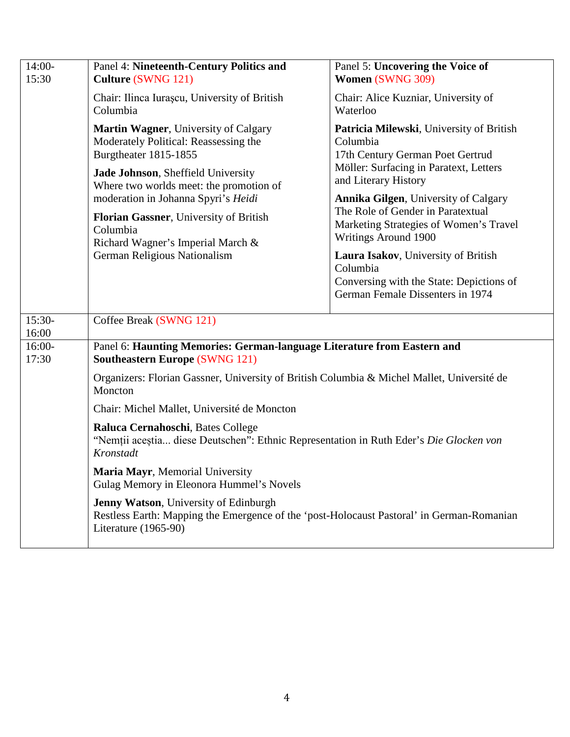| $14:00-$<br>15:30 | Panel 4: Nineteenth-Century Politics and<br><b>Culture (SWNG 121)</b>                                                                                                                                                                                                                                                                                            | Panel 5: Uncovering the Voice of<br>Women (SWNG 309)                                                                                                                                                                                                                                                                                                                                                                                                |  |
|-------------------|------------------------------------------------------------------------------------------------------------------------------------------------------------------------------------------------------------------------------------------------------------------------------------------------------------------------------------------------------------------|-----------------------------------------------------------------------------------------------------------------------------------------------------------------------------------------------------------------------------------------------------------------------------------------------------------------------------------------------------------------------------------------------------------------------------------------------------|--|
|                   | Chair: Ilinca Iurașcu, University of British<br>Columbia                                                                                                                                                                                                                                                                                                         | Chair: Alice Kuzniar, University of<br>Waterloo                                                                                                                                                                                                                                                                                                                                                                                                     |  |
|                   | <b>Martin Wagner, University of Calgary</b><br>Moderately Political: Reassessing the<br>Burgtheater 1815-1855<br>Jade Johnson, Sheffield University<br>Where two worlds meet: the promotion of<br>moderation in Johanna Spyri's Heidi<br>Florian Gassner, University of British<br>Columbia<br>Richard Wagner's Imperial March &<br>German Religious Nationalism | Patricia Milewski, University of British<br>Columbia<br>17th Century German Poet Gertrud<br>Möller: Surfacing in Paratext, Letters<br>and Literary History<br><b>Annika Gilgen, University of Calgary</b><br>The Role of Gender in Paratextual<br>Marketing Strategies of Women's Travel<br>Writings Around 1900<br>Laura Isakov, University of British<br>Columbia<br>Conversing with the State: Depictions of<br>German Female Dissenters in 1974 |  |
| $15:30-$<br>16:00 | Coffee Break (SWNG 121)                                                                                                                                                                                                                                                                                                                                          |                                                                                                                                                                                                                                                                                                                                                                                                                                                     |  |
| $16:00-$<br>17:30 | Panel 6: Haunting Memories: German-language Literature from Eastern and<br><b>Southeastern Europe (SWNG 121)</b>                                                                                                                                                                                                                                                 |                                                                                                                                                                                                                                                                                                                                                                                                                                                     |  |
|                   | Organizers: Florian Gassner, University of British Columbia & Michel Mallet, Université de<br>Moncton                                                                                                                                                                                                                                                            |                                                                                                                                                                                                                                                                                                                                                                                                                                                     |  |
|                   | Chair: Michel Mallet, Université de Moncton                                                                                                                                                                                                                                                                                                                      |                                                                                                                                                                                                                                                                                                                                                                                                                                                     |  |
|                   | Raluca Cernahoschi, Bates College<br>"Nemții aceștia diese Deutschen": Ethnic Representation in Ruth Eder's Die Glocken von<br>Kronstadt                                                                                                                                                                                                                         |                                                                                                                                                                                                                                                                                                                                                                                                                                                     |  |
|                   | Maria Mayr, Memorial University<br>Gulag Memory in Eleonora Hummel's Novels                                                                                                                                                                                                                                                                                      |                                                                                                                                                                                                                                                                                                                                                                                                                                                     |  |
|                   | Jenny Watson, University of Edinburgh<br>Restless Earth: Mapping the Emergence of the 'post-Holocaust Pastoral' in German-Romanian<br>Literature (1965-90)                                                                                                                                                                                                       |                                                                                                                                                                                                                                                                                                                                                                                                                                                     |  |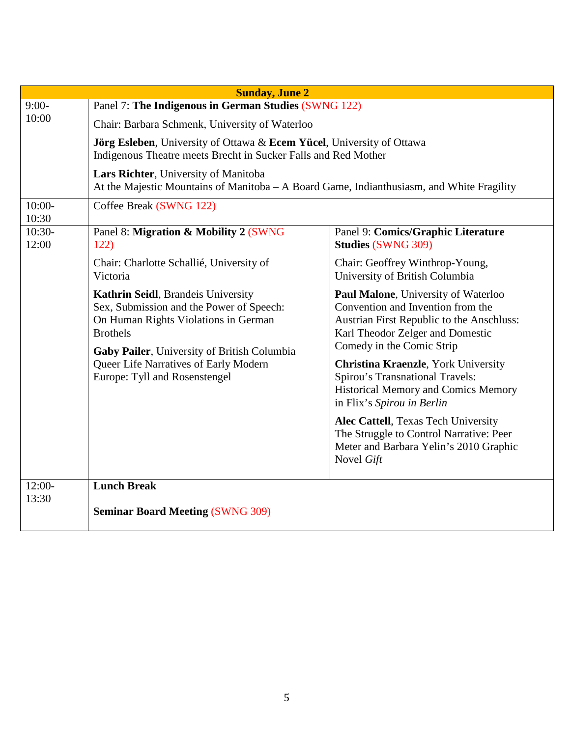| <b>Sunday, June 2</b> |                                                                                                                                                                                                                                                                    |                                                                                                                                                                                        |  |
|-----------------------|--------------------------------------------------------------------------------------------------------------------------------------------------------------------------------------------------------------------------------------------------------------------|----------------------------------------------------------------------------------------------------------------------------------------------------------------------------------------|--|
| $9:00-$               | Panel 7: The Indigenous in German Studies (SWNG 122)                                                                                                                                                                                                               |                                                                                                                                                                                        |  |
| 10:00                 | Chair: Barbara Schmenk, University of Waterloo                                                                                                                                                                                                                     |                                                                                                                                                                                        |  |
|                       | Jörg Esleben, University of Ottawa & Ecem Yücel, University of Ottawa<br>Indigenous Theatre meets Brecht in Sucker Falls and Red Mother                                                                                                                            |                                                                                                                                                                                        |  |
|                       | Lars Richter, University of Manitoba<br>At the Majestic Mountains of Manitoba - A Board Game, Indianthusiasm, and White Fragility                                                                                                                                  |                                                                                                                                                                                        |  |
| $10:00-$<br>10:30     | Coffee Break (SWNG 122)                                                                                                                                                                                                                                            |                                                                                                                                                                                        |  |
| $10:30-$<br>12:00     | Panel 8: Migration & Mobility 2 (SWNG<br>122)                                                                                                                                                                                                                      | Panel 9: Comics/Graphic Literature<br><b>Studies (SWNG 309)</b>                                                                                                                        |  |
|                       | Chair: Charlotte Schallié, University of<br>Victoria                                                                                                                                                                                                               | Chair: Geoffrey Winthrop-Young,<br>University of British Columbia                                                                                                                      |  |
|                       | Kathrin Seidl, Brandeis University<br>Sex, Submission and the Power of Speech:<br>On Human Rights Violations in German<br><b>Brothels</b><br>Gaby Pailer, University of British Columbia<br>Queer Life Narratives of Early Modern<br>Europe: Tyll and Rosenstengel | Paul Malone, University of Waterloo<br>Convention and Invention from the<br>Austrian First Republic to the Anschluss:<br>Karl Theodor Zelger and Domestic<br>Comedy in the Comic Strip |  |
|                       |                                                                                                                                                                                                                                                                    | Christina Kraenzle, York University<br>Spirou's Transnational Travels:<br><b>Historical Memory and Comics Memory</b><br>in Flix's Spirou in Berlin                                     |  |
|                       |                                                                                                                                                                                                                                                                    | Alec Cattell, Texas Tech University<br>The Struggle to Control Narrative: Peer<br>Meter and Barbara Yelin's 2010 Graphic<br>Novel Gift                                                 |  |
| $12:00-$              | <b>Lunch Break</b>                                                                                                                                                                                                                                                 |                                                                                                                                                                                        |  |
| 13:30                 | <b>Seminar Board Meeting (SWNG 309)</b>                                                                                                                                                                                                                            |                                                                                                                                                                                        |  |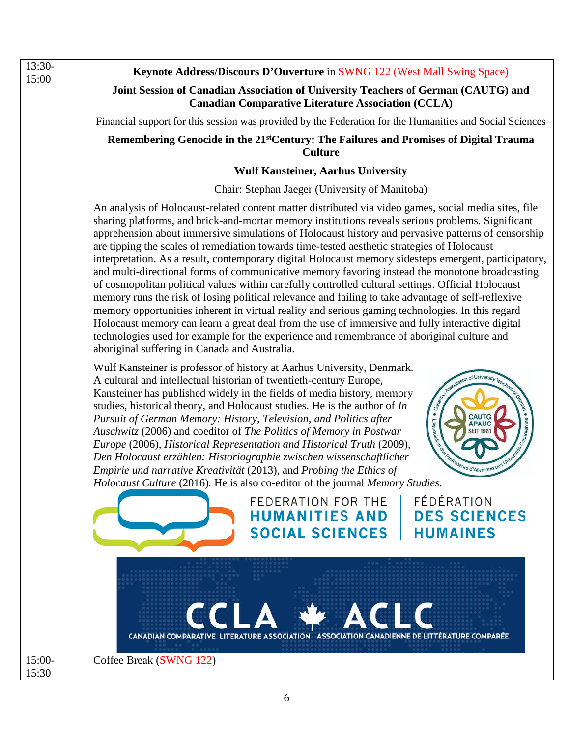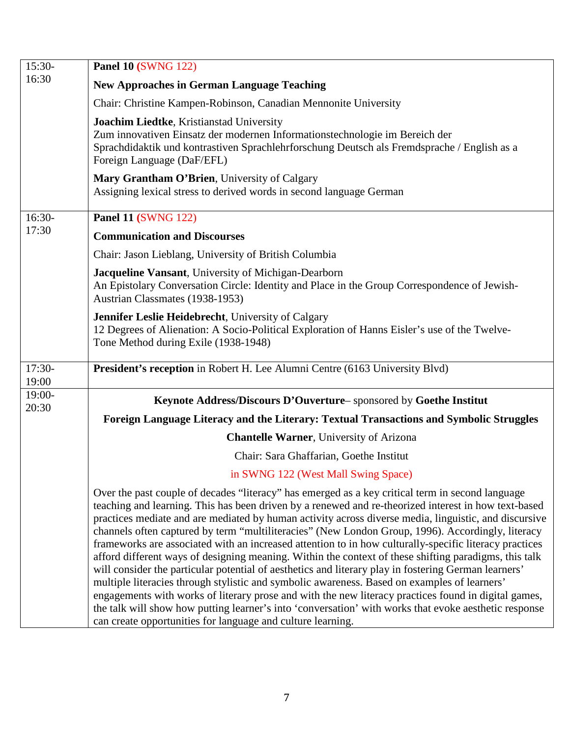| 15:30-            | <b>Panel 10 (SWNG 122)</b>                                                                                                                                                                                                                                                                                                                                                                                                                                                                                                                                                                                                                                                                                                                                                                                                                                                                                                                                                                                                                                                                                                        |  |  |
|-------------------|-----------------------------------------------------------------------------------------------------------------------------------------------------------------------------------------------------------------------------------------------------------------------------------------------------------------------------------------------------------------------------------------------------------------------------------------------------------------------------------------------------------------------------------------------------------------------------------------------------------------------------------------------------------------------------------------------------------------------------------------------------------------------------------------------------------------------------------------------------------------------------------------------------------------------------------------------------------------------------------------------------------------------------------------------------------------------------------------------------------------------------------|--|--|
| 16:30             | <b>New Approaches in German Language Teaching</b>                                                                                                                                                                                                                                                                                                                                                                                                                                                                                                                                                                                                                                                                                                                                                                                                                                                                                                                                                                                                                                                                                 |  |  |
|                   | Chair: Christine Kampen-Robinson, Canadian Mennonite University                                                                                                                                                                                                                                                                                                                                                                                                                                                                                                                                                                                                                                                                                                                                                                                                                                                                                                                                                                                                                                                                   |  |  |
|                   | Joachim Liedtke, Kristianstad University<br>Zum innovativen Einsatz der modernen Informationstechnologie im Bereich der<br>Sprachdidaktik und kontrastiven Sprachlehrforschung Deutsch als Fremdsprache / English as a<br>Foreign Language (DaF/EFL)                                                                                                                                                                                                                                                                                                                                                                                                                                                                                                                                                                                                                                                                                                                                                                                                                                                                              |  |  |
|                   | Mary Grantham O'Brien, University of Calgary<br>Assigning lexical stress to derived words in second language German                                                                                                                                                                                                                                                                                                                                                                                                                                                                                                                                                                                                                                                                                                                                                                                                                                                                                                                                                                                                               |  |  |
| 16:30-            | <b>Panel 11 (SWNG 122)</b>                                                                                                                                                                                                                                                                                                                                                                                                                                                                                                                                                                                                                                                                                                                                                                                                                                                                                                                                                                                                                                                                                                        |  |  |
| 17:30             | <b>Communication and Discourses</b>                                                                                                                                                                                                                                                                                                                                                                                                                                                                                                                                                                                                                                                                                                                                                                                                                                                                                                                                                                                                                                                                                               |  |  |
|                   | Chair: Jason Lieblang, University of British Columbia                                                                                                                                                                                                                                                                                                                                                                                                                                                                                                                                                                                                                                                                                                                                                                                                                                                                                                                                                                                                                                                                             |  |  |
|                   | <b>Jacqueline Vansant</b> , University of Michigan-Dearborn<br>An Epistolary Conversation Circle: Identity and Place in the Group Correspondence of Jewish-<br>Austrian Classmates (1938-1953)                                                                                                                                                                                                                                                                                                                                                                                                                                                                                                                                                                                                                                                                                                                                                                                                                                                                                                                                    |  |  |
|                   | <b>Jennifer Leslie Heidebrecht</b> , University of Calgary<br>12 Degrees of Alienation: A Socio-Political Exploration of Hanns Eisler's use of the Twelve-<br>Tone Method during Exile (1938-1948)                                                                                                                                                                                                                                                                                                                                                                                                                                                                                                                                                                                                                                                                                                                                                                                                                                                                                                                                |  |  |
| $17:30-$<br>19:00 | <b>President's reception</b> in Robert H. Lee Alumni Centre (6163 University Blvd)                                                                                                                                                                                                                                                                                                                                                                                                                                                                                                                                                                                                                                                                                                                                                                                                                                                                                                                                                                                                                                                |  |  |
| 19:00-<br>20:30   | Keynote Address/Discours D'Ouverture-sponsored by Goethe Institut                                                                                                                                                                                                                                                                                                                                                                                                                                                                                                                                                                                                                                                                                                                                                                                                                                                                                                                                                                                                                                                                 |  |  |
|                   | Foreign Language Literacy and the Literary: Textual Transactions and Symbolic Struggles                                                                                                                                                                                                                                                                                                                                                                                                                                                                                                                                                                                                                                                                                                                                                                                                                                                                                                                                                                                                                                           |  |  |
|                   | <b>Chantelle Warner</b> , University of Arizona                                                                                                                                                                                                                                                                                                                                                                                                                                                                                                                                                                                                                                                                                                                                                                                                                                                                                                                                                                                                                                                                                   |  |  |
|                   | Chair: Sara Ghaffarian, Goethe Institut                                                                                                                                                                                                                                                                                                                                                                                                                                                                                                                                                                                                                                                                                                                                                                                                                                                                                                                                                                                                                                                                                           |  |  |
|                   | in SWNG 122 (West Mall Swing Space)                                                                                                                                                                                                                                                                                                                                                                                                                                                                                                                                                                                                                                                                                                                                                                                                                                                                                                                                                                                                                                                                                               |  |  |
|                   | Over the past couple of decades "literacy" has emerged as a key critical term in second language<br>teaching and learning. This has been driven by a renewed and re-theorized interest in how text-based<br>practices mediate and are mediated by human activity across diverse media, linguistic, and discursive<br>channels often captured by term "multiliteracies" (New London Group, 1996). Accordingly, literacy<br>frameworks are associated with an increased attention to in how culturally-specific literacy practices<br>afford different ways of designing meaning. Within the context of these shifting paradigms, this talk<br>will consider the particular potential of aesthetics and literary play in fostering German learners'<br>multiple literacies through stylistic and symbolic awareness. Based on examples of learners'<br>engagements with works of literary prose and with the new literacy practices found in digital games,<br>the talk will show how putting learner's into 'conversation' with works that evoke aesthetic response<br>can create opportunities for language and culture learning. |  |  |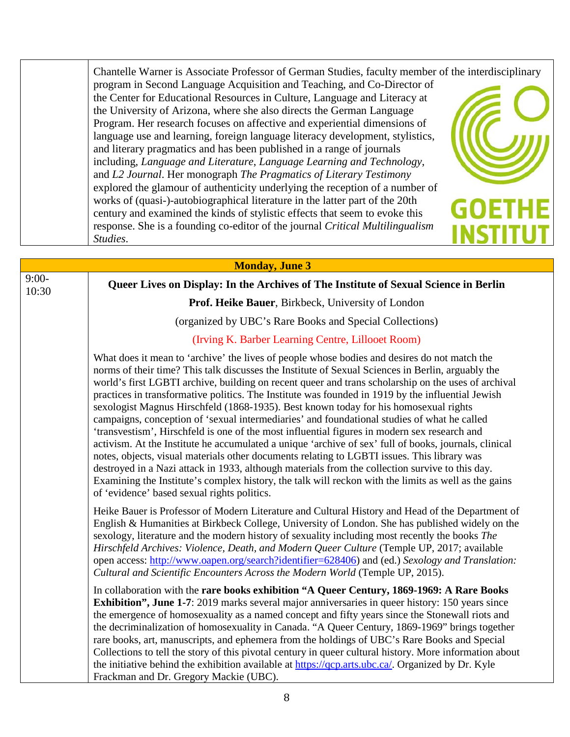Chantelle Warner is Associate Professor of German Studies, faculty member of the interdisciplinary program in Second Language Acquisition and Teaching, and Co-Director of the Center for Educational Resources in Culture, Language and Literacy at the University of Arizona, where she also directs the German Language Program. Her research focuses on affective and experiential dimensions of language use and learning, foreign language literacy development, stylistics, and literary pragmatics and has been published in a range of journals including, *Language and Literature*, *Language Learning and Technology*, and *L2 Journal*. Her monograph *The Pragmatics of Literary Testimony* explored the glamour of authenticity underlying the reception of a number of works of (quasi-)-autobiographical literature in the latter part of the 20th GOET

century and examined the kinds of stylistic effects that seem to evoke this response. She is a founding co-editor of the journal *Critical Multilingualism* 

*Studies*. **Monday, June 3** 9:00- **Proof Queer Lives on Display: In the Archives of The Institute of Sexual Science in Berlin Prof. Heike Bauer**, Birkbeck, University of London (organized by UBC's Rare Books and Special Collections) (Irving K. Barber Learning Centre, Lillooet Room) What does it mean to 'archive' the lives of people whose bodies and desires do not match the norms of their time? This talk discusses the Institute of Sexual Sciences in Berlin, arguably the world's first LGBTI archive, building on recent queer and trans scholarship on the uses of archival practices in transformative politics. The Institute was founded in 1919 by the influential Jewish sexologist Magnus Hirschfeld (1868-1935). Best known today for his homosexual rights campaigns, conception of 'sexual intermediaries' and foundational studies of what he called 'transvestism', Hirschfeld is one of the most influential figures in modern sex research and activism. At the Institute he accumulated a unique 'archive of sex' full of books, journals, clinical notes, objects, visual materials other documents relating to LGBTI issues. This library was destroyed in a Nazi attack in 1933, although materials from the collection survive to this day. Examining the Institute's complex history, the talk will reckon with the limits as well as the gains of 'evidence' based sexual rights politics. Heike Bauer is Professor of Modern Literature and Cultural History and Head of the Department of English & Humanities at Birkbeck College, University of London. She has published widely on the sexology, literature and the modern history of sexuality including most recently the books *The Hirschfeld Archives: Violence, Death, and Modern Queer Culture* (Temple UP, 2017; available open access: [http://www.oapen.org/search?identifier=628406\)](http://www.oapen.org/search?identifier=628406) and (ed.) *Sexology and Translation: Cultural and Scientific Encounters Across the Modern World* (Temple UP, 2015). In collaboration with the **rare books exhibition "A Queer Century, 1869-1969: A Rare Books Exhibition", June 1-7**: 2019 marks several major anniversaries in queer history: 150 years since the emergence of homosexuality as a named concept and fifty years since the Stonewall riots and the decriminalization of homosexuality in Canada. "A Queer Century, 1869-1969" brings together rare books, art, manuscripts, and ephemera from the holdings of UBC's Rare Books and Special Collections to tell the story of this pivotal century in queer cultural history. More information about the initiative behind the exhibition available at [https://qcp.arts.ubc.ca/.](https://qcp.arts.ubc.ca/) Organized by Dr. Kyle Frackman and Dr. Gregory Mackie (UBC).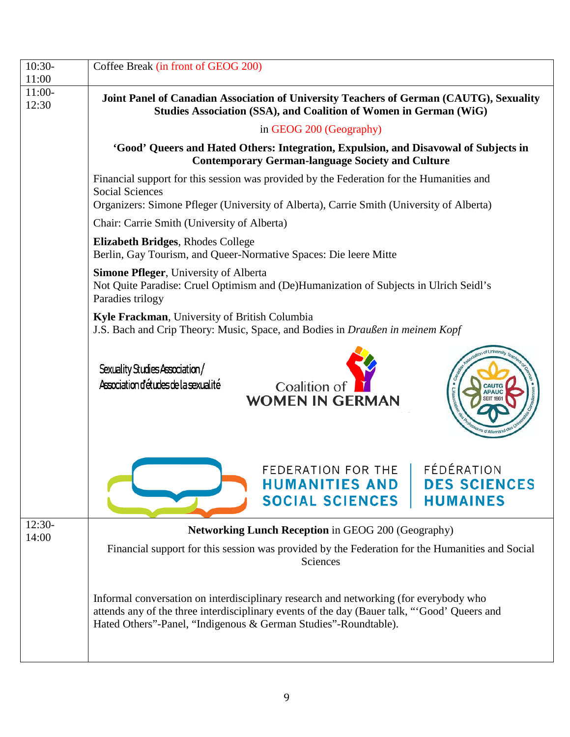| $10:30-$          | Coffee Break (in front of GEOG 200)                                                                                                                                                                                                                     |  |  |
|-------------------|---------------------------------------------------------------------------------------------------------------------------------------------------------------------------------------------------------------------------------------------------------|--|--|
| 11:00             |                                                                                                                                                                                                                                                         |  |  |
| $11:00-$<br>12:30 | Joint Panel of Canadian Association of University Teachers of German (CAUTG), Sexuality<br>Studies Association (SSA), and Coalition of Women in German (WiG)                                                                                            |  |  |
|                   | in GEOG 200 (Geography)                                                                                                                                                                                                                                 |  |  |
|                   | 'Good' Queers and Hated Others: Integration, Expulsion, and Disavowal of Subjects in<br><b>Contemporary German-language Society and Culture</b>                                                                                                         |  |  |
|                   | Financial support for this session was provided by the Federation for the Humanities and<br><b>Social Sciences</b>                                                                                                                                      |  |  |
|                   | Organizers: Simone Pfleger (University of Alberta), Carrie Smith (University of Alberta)                                                                                                                                                                |  |  |
|                   | Chair: Carrie Smith (University of Alberta)                                                                                                                                                                                                             |  |  |
|                   | Elizabeth Bridges, Rhodes College<br>Berlin, Gay Tourism, and Queer-Normative Spaces: Die leere Mitte                                                                                                                                                   |  |  |
|                   | <b>Simone Pfleger, University of Alberta</b><br>Not Quite Paradise: Cruel Optimism and (De)Humanization of Subjects in Ulrich Seidl's<br>Paradies trilogy                                                                                               |  |  |
|                   | Kyle Frackman, University of British Columbia<br>J.S. Bach and Crip Theory: Music, Space, and Bodies in Draußen in meinem Kopf                                                                                                                          |  |  |
|                   | n of University<br>Sexuality Studies Association/<br>Association d'études de la sexualité<br>Coalition of<br><b>WOMEN IN GERMAN</b><br>S d'Allemand de                                                                                                  |  |  |
|                   | FÉDÉRATION<br>FEDERATION FOR THE<br><b>DES SCIENCES</b><br><b>HUMANITIES AND</b><br><b>SOCIAL SCIENCES</b><br><b>HUMAINES</b>                                                                                                                           |  |  |
| $12:30-$          | <b>Networking Lunch Reception</b> in GEOG 200 (Geography)                                                                                                                                                                                               |  |  |
| 14:00             | Financial support for this session was provided by the Federation for the Humanities and Social<br>Sciences                                                                                                                                             |  |  |
|                   | Informal conversation on interdisciplinary research and networking (for everybody who<br>attends any of the three interdisciplinary events of the day (Bauer talk, "Good' Queers and<br>Hated Others"-Panel, "Indigenous & German Studies"-Roundtable). |  |  |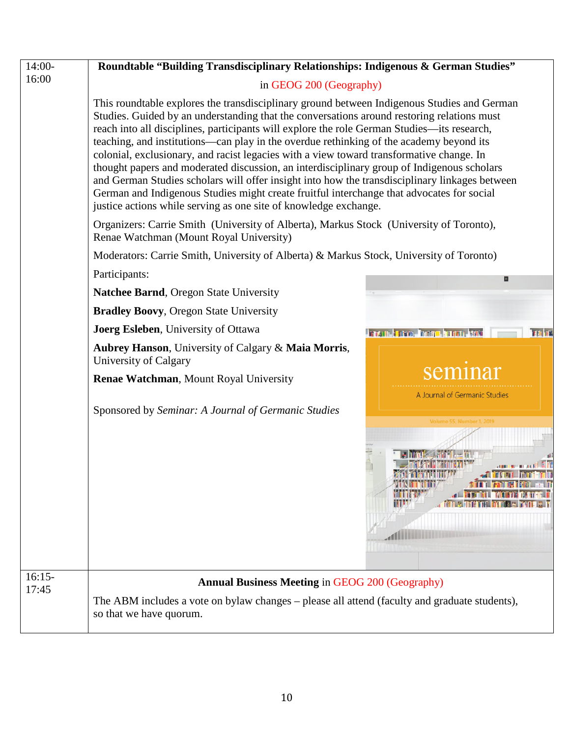| $14:00-$          | Roundtable "Building Transdisciplinary Relationships: Indigenous & German Studies"                                                                                                                                                                                                                                                                                                                                                                                                                                                                                                                                                                                                                                                                                                                                                                                                                                                                                                     |                                          |  |
|-------------------|----------------------------------------------------------------------------------------------------------------------------------------------------------------------------------------------------------------------------------------------------------------------------------------------------------------------------------------------------------------------------------------------------------------------------------------------------------------------------------------------------------------------------------------------------------------------------------------------------------------------------------------------------------------------------------------------------------------------------------------------------------------------------------------------------------------------------------------------------------------------------------------------------------------------------------------------------------------------------------------|------------------------------------------|--|
| 16:00             | in GEOG 200 (Geography)                                                                                                                                                                                                                                                                                                                                                                                                                                                                                                                                                                                                                                                                                                                                                                                                                                                                                                                                                                |                                          |  |
|                   | This roundtable explores the transdisciplinary ground between Indigenous Studies and German<br>Studies. Guided by an understanding that the conversations around restoring relations must<br>reach into all disciplines, participants will explore the role German Studies—its research,<br>teaching, and institutions—can play in the overdue rethinking of the academy beyond its<br>colonial, exclusionary, and racist legacies with a view toward transformative change. In<br>thought papers and moderated discussion, an interdisciplinary group of Indigenous scholars<br>and German Studies scholars will offer insight into how the transdisciplinary linkages between<br>German and Indigenous Studies might create fruitful interchange that advocates for social<br>justice actions while serving as one site of knowledge exchange.<br>Organizers: Carrie Smith (University of Alberta), Markus Stock (University of Toronto),<br>Renae Watchman (Mount Royal University) |                                          |  |
|                   |                                                                                                                                                                                                                                                                                                                                                                                                                                                                                                                                                                                                                                                                                                                                                                                                                                                                                                                                                                                        |                                          |  |
|                   | Moderators: Carrie Smith, University of Alberta) & Markus Stock, University of Toronto)                                                                                                                                                                                                                                                                                                                                                                                                                                                                                                                                                                                                                                                                                                                                                                                                                                                                                                |                                          |  |
|                   | Participants:                                                                                                                                                                                                                                                                                                                                                                                                                                                                                                                                                                                                                                                                                                                                                                                                                                                                                                                                                                          |                                          |  |
|                   | Natchee Barnd, Oregon State University                                                                                                                                                                                                                                                                                                                                                                                                                                                                                                                                                                                                                                                                                                                                                                                                                                                                                                                                                 |                                          |  |
|                   | <b>Bradley Boovy, Oregon State University</b>                                                                                                                                                                                                                                                                                                                                                                                                                                                                                                                                                                                                                                                                                                                                                                                                                                                                                                                                          |                                          |  |
|                   | Joerg Esleben, University of Ottawa                                                                                                                                                                                                                                                                                                                                                                                                                                                                                                                                                                                                                                                                                                                                                                                                                                                                                                                                                    | <b>TANA MENDENHALL</b>                   |  |
|                   | Aubrey Hanson, University of Calgary & Maia Morris,<br>University of Calgary                                                                                                                                                                                                                                                                                                                                                                                                                                                                                                                                                                                                                                                                                                                                                                                                                                                                                                           |                                          |  |
|                   | Renae Watchman, Mount Royal University                                                                                                                                                                                                                                                                                                                                                                                                                                                                                                                                                                                                                                                                                                                                                                                                                                                                                                                                                 | seminar<br>A Journal of Germanic Studies |  |
|                   | Sponsored by Seminar: A Journal of Germanic Studies                                                                                                                                                                                                                                                                                                                                                                                                                                                                                                                                                                                                                                                                                                                                                                                                                                                                                                                                    | Volume 55, Number 1, 2019                |  |
|                   |                                                                                                                                                                                                                                                                                                                                                                                                                                                                                                                                                                                                                                                                                                                                                                                                                                                                                                                                                                                        |                                          |  |
| $16:15-$<br>17:45 | <b>Annual Business Meeting in GEOG 200 (Geography)</b>                                                                                                                                                                                                                                                                                                                                                                                                                                                                                                                                                                                                                                                                                                                                                                                                                                                                                                                                 |                                          |  |
|                   | The ABM includes a vote on bylaw changes – please all attend (faculty and graduate students),<br>so that we have quorum.                                                                                                                                                                                                                                                                                                                                                                                                                                                                                                                                                                                                                                                                                                                                                                                                                                                               |                                          |  |